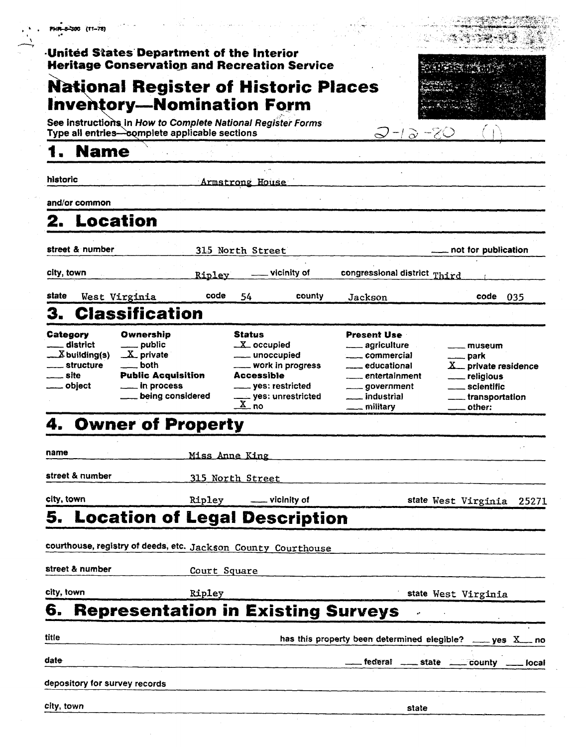|                                                                  | <b>United States Department of the Interior</b><br><b>Heritage Conservation and Recreation Service</b>                                                                                          |                |                                                                                                                        |                    |                                                                                                               |                                                                                                    |
|------------------------------------------------------------------|-------------------------------------------------------------------------------------------------------------------------------------------------------------------------------------------------|----------------|------------------------------------------------------------------------------------------------------------------------|--------------------|---------------------------------------------------------------------------------------------------------------|----------------------------------------------------------------------------------------------------|
|                                                                  | <b>National Register of Historic Places</b><br><b>Inventory—Nomination Form</b><br>See instructions in How to Complete National Register Forms<br>Type all entries-complete applicable sections |                |                                                                                                                        |                    | $\sim$<br>$\partial$ =80                                                                                      |                                                                                                    |
| <b>Name</b>                                                      |                                                                                                                                                                                                 |                |                                                                                                                        |                    |                                                                                                               |                                                                                                    |
| historic                                                         |                                                                                                                                                                                                 |                | Armstrong House                                                                                                        |                    |                                                                                                               |                                                                                                    |
| and/or common                                                    |                                                                                                                                                                                                 |                |                                                                                                                        |                    |                                                                                                               |                                                                                                    |
| 2. Location                                                      |                                                                                                                                                                                                 |                |                                                                                                                        |                    |                                                                                                               |                                                                                                    |
| street & number                                                  |                                                                                                                                                                                                 |                | 315 North Street                                                                                                       |                    |                                                                                                               | not for publication                                                                                |
| city, town                                                       |                                                                                                                                                                                                 | Ripley         |                                                                                                                        | vicinity of        | congressional district Third                                                                                  |                                                                                                    |
| state                                                            | West Virginia                                                                                                                                                                                   | code           | 54                                                                                                                     | county             | Jackson                                                                                                       | $code$ 035                                                                                         |
| 3.                                                               | <b>Classification</b>                                                                                                                                                                           |                |                                                                                                                        |                    |                                                                                                               |                                                                                                    |
| district<br>$X$ building(s)<br>__ structure<br>__ site<br>object | public<br>$X$ private<br>both<br><b>Public Acquisition</b><br>in process<br>being considered                                                                                                    |                | $\_X$ occupied<br>___ unoccupied<br>Accessible<br>____ yes: restricted<br>____ yes: unrestricted<br>$\underline{X}$ no | _ work in progress | agriculture<br>commercial<br>educational<br>entertainment<br>____ government<br><b>industrial</b><br>military | museum<br>park<br>$X_{-}$ private residence<br>religious<br>scientific<br>transportation<br>other: |
| 4                                                                | <b>Owner of Property</b>                                                                                                                                                                        |                |                                                                                                                        |                    |                                                                                                               |                                                                                                    |
| name                                                             |                                                                                                                                                                                                 | Miss Anne King |                                                                                                                        |                    |                                                                                                               |                                                                                                    |
| street & number                                                  |                                                                                                                                                                                                 |                | 315 North Street                                                                                                       |                    |                                                                                                               |                                                                                                    |
| city, town                                                       |                                                                                                                                                                                                 | Ripley         |                                                                                                                        | ____ vicinity of   |                                                                                                               | state West Virginia 25271                                                                          |
| 5.                                                               | <b>Location of Legal Description</b>                                                                                                                                                            |                |                                                                                                                        |                    |                                                                                                               |                                                                                                    |
|                                                                  | courthouse, registry of deeds, etc. Jackson County Courthouse                                                                                                                                   |                |                                                                                                                        |                    |                                                                                                               |                                                                                                    |
| street & number                                                  |                                                                                                                                                                                                 | Court Square   |                                                                                                                        |                    |                                                                                                               |                                                                                                    |
|                                                                  |                                                                                                                                                                                                 |                |                                                                                                                        |                    |                                                                                                               |                                                                                                    |
|                                                                  |                                                                                                                                                                                                 | Ripley         |                                                                                                                        |                    |                                                                                                               | state West Virginia                                                                                |
|                                                                  |                                                                                                                                                                                                 |                |                                                                                                                        |                    |                                                                                                               |                                                                                                    |
| city, town<br>6.                                                 | <b>Representation in Existing Surveys</b>                                                                                                                                                       |                |                                                                                                                        |                    |                                                                                                               |                                                                                                    |
| title                                                            |                                                                                                                                                                                                 |                |                                                                                                                        |                    |                                                                                                               | has this property been determined elegible? ____ yes X___ no                                       |
| date                                                             |                                                                                                                                                                                                 |                |                                                                                                                        |                    |                                                                                                               | federal _____ state _____ county<br>local                                                          |
| depository for survey records                                    |                                                                                                                                                                                                 |                |                                                                                                                        |                    |                                                                                                               |                                                                                                    |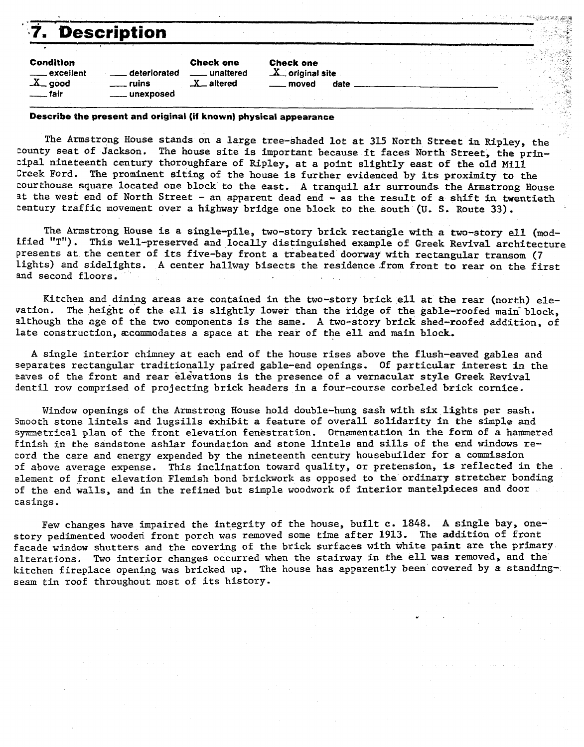## ..- **7. Description**

| 7. Description                                                   |                                    |                                              |                                                                    |  |
|------------------------------------------------------------------|------------------------------------|----------------------------------------------|--------------------------------------------------------------------|--|
| <b>Condition</b><br><u>__</u> __ excellent<br>$X$ good<br>— fair | deteriorated<br>ruins<br>unexposed | <b>Check one</b><br>unaltered<br>$X$ altered | <b>Check one</b><br>$\underline{X}$ original site<br>date<br>moved |  |

### **Describe the present and original (if known) physical appearance**

The Armstrong House stands on a large tree-shaded lot at 315 North Street in Ripley, the county seat of Jackson. **The** house site is important because it faces North Street, the principal nineteenth century thoroughfare of Ripley, at a point slightly east of the old Mill Creek Ford. The prominent siting of the house is further evidenced by its proximity to the courthouse square located one block to the east. **A** tranquil air surrounds the Armstrong House at the west end of North Street - an apparent dead end - as the result of a shift in twentieth century traffic movement over a highway bridge one block to the south (U. **S.** Route **33).** 

The Armstrong House is a single-pile, two-story brick rectangle with a two-story ell (modified **"T").** This well-preserved and locally distinguished example of Greek **Revival** architecture presents at the center of its five-bay front a trabeated doorway with rectangular transom (7 lights) and sidelights. A center hallway bisects the residence from front to rear on the first and second floors.

Kitchen and dining areas are contained in the two-story brick ell at **the** rear (north) elevation. The height of the ell is slightly lower than the ridge of the gable-roofed main'block, although the age of the two components is the same. **A** two-story brick shed-roofed addition, of late construction, acommodates a space at the rear of the ell and main block.

**A** single interior chimney at each end of the house rises above the flush-eaved gables and separates rectangular traditionally paired gable-end openings. Of particular interest in the zaves of the front and rear elevations is the presence of a vernacular style Greek Revival dentil row comprised of projecting brick headers in a four-course corbeled brick cornice.

Window openings of the Armstrong House hold double-hung sash with six lights per sash. Smooth stone lintels and lugsills exhibit a feature of overall solidarity in the simple and symmetrical plan of the front elevation fenestration. Ornamentation **in** the **form** of a hammered Einish in the sandstone ashlar foundation and stone lintels and sills of the end windows record the care and energy expended by the nineteenth century housebuilder for a commission **~f** above average expense. This inclination toward quality, or pretension, is reflected in the element of front elevation Flemish bond brickwork as opposed to the ordinary stretcher bonding of the end walls, and in the refined but simple woodwork of interior mantelpieces and door casings.

Few changes have impaired the integrity of the house, built c. 1848. **A** single **bay,** onestory pedimented wooden front porch was removed some time after 1913. The addition of front facade window shutters and the covering of the brick surfaces with white paint are **the** primary alterations. Two interior changes occurred when the stairway in the ell was removed, and the kitchen fireplace opening was bricked up. The house has apparently been covered by a standingseam tin roof throughout most of its history.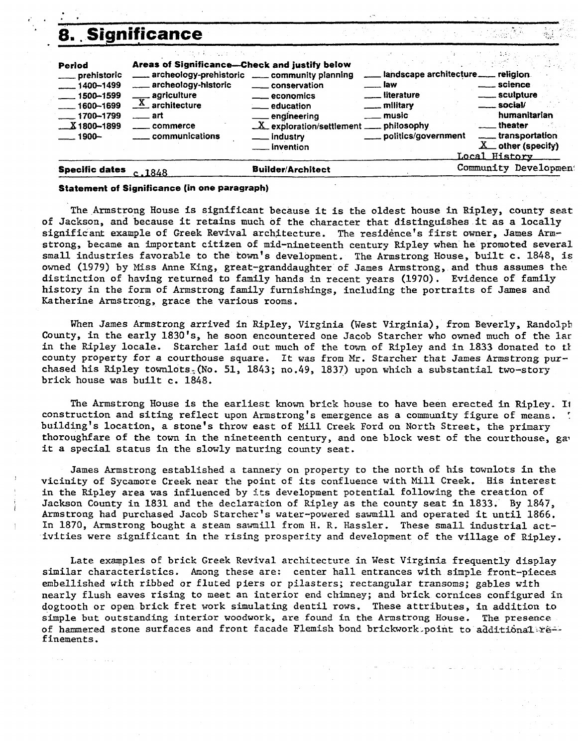|                                                                                                                         | 8. Significance                                                                                                                                                                                                                                    |                                                                                                                                                               |                                                                              |                                                                                                                                                                                                   |
|-------------------------------------------------------------------------------------------------------------------------|----------------------------------------------------------------------------------------------------------------------------------------------------------------------------------------------------------------------------------------------------|---------------------------------------------------------------------------------------------------------------------------------------------------------------|------------------------------------------------------------------------------|---------------------------------------------------------------------------------------------------------------------------------------------------------------------------------------------------|
| Period<br>____ prehistoric<br>1400-1499<br>$-1500 - 1599$<br>1600-1699<br>$-1700 - 1799$<br>$\_X$ 1800-1899<br>$1900 -$ | Areas of Significance-Check and justify below<br>____ archeology-prehistoric ____ community planning<br>archeology-historic<br><sub>___</sub> __ agriculture<br>$\overline{X}$ architecture<br>. <sub>——</sub> art<br>commerce<br>. communications | ___ conservation<br><u>_</u> economics<br><u>__</u> education<br>__ engineering<br>$X$ exploration/settlement $x$ philosophy<br>__ industrv<br>$\_$ invention | law.<br>literature<br>$\equiv$ military<br>music<br>____ politics/government | landscape architecture religion<br><u>__</u> __ science<br>_____ sculpture<br>$\_\_\$ social/<br>humanitarian<br><u>_</u> __theater<br>___ transportation<br>$X$ other (specity)<br>Local History |
| <b>Specific dates</b>                                                                                                   | c.1848                                                                                                                                                                                                                                             | <b>Builder/Architect</b>                                                                                                                                      |                                                                              | Community Developmen                                                                                                                                                                              |

### **Statement of Significance (in one paragraph)**

The Amstrong House is significant because it is the oldest house in Ripley, county seat of Jackson, and because it retains much of the character that distinguishes it as a locally significant example of Greek Revival architecture. The residence's first owner, James Armstrong, became an important citizen of mid-nineteenth century Ripley when he promoted several small industries favorable to the town's development. The Armstrong House, built **c.** 1848, is owned (1979) by Miss Anne King, great-granddaughter of James Armstrong, and thus assumes the distinction of having returned to family hands in recent years (1970) . Evidence of family history in the form of Armstrong family furnishings, including the portraits of **James** and Katherine Armstrong, grace the various rooms.

When James Armstrong arrived in Ripley, Virginia (West Virginia), from Beverly, **Randolpb**  County, in the early 1830's, he soon encountered one Jacob Starcher who owned much of the lar in the Ripley locale. Starcher laid out much of the town of Ripley and in **1833** donated to **tk**  county property for a courthouse square. It was from Mr. Starcher that James Armstrong purchased his Ripley townlots<sub>3</sub>(No. 51, 1843; no.49, 1837) upon which a substantial two-story brick house was built c. 1848.

The Armstrong House is the earliest known brick house to have been erected in Ripley, **If**  construction and siting reflect upon Armstrong's emergence as a community figure of means. building's location, a stone's throw east of Mill Creek Ford on North Street, the primary thoroughfare of the town in the nineteenth century, and one block west of the courthouse, gay it a special status in the slowly maturing county seat.

James Armstrong established a tannery on property to the north of his townlots in the vicinity of Sycamore Creek near the point of its confluence with Mill Creek. His interest in the Ripley area was influenced by its development potential following the creation of Jackson County in 1831 and the declaration of Ripley as the county seat in 1833. By 1847, Armstrong had purchased Jacob Starcher's water-powered sawmill and operated it until 1866. In 1870, Armstrong bought a steam sawmill from H. R. Hassler. These small industrial activities were significant in the rising prosperity and development of the village of Ripley.

Late examples of brick Greek Revival architecture in West Virginia frequently display similar characteristics. Among these are: center hall entrances with simple front-pieces embellished with ribbed or **fluted** piers or pilasters; rectangular transons; gables with nearly flush eaves rising to meet an interior end chimney; and brick cornices configured in dogtooth or open brick fret work simulating dentil rows. These attributes, in addition to simple but outstanding interior woodwork, are found in the Armstrong House. **The** presence of hammered stone surfaces and front facade Flemish bond brickwork point to additional: re--<br>finements.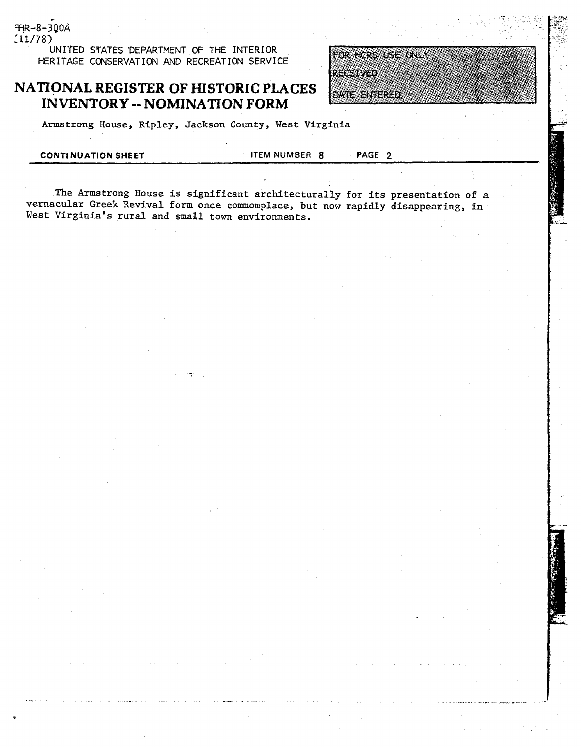**UNI'fED STATES 'DEPARTMENT OF THE INTERIOR HERITAGE CONSERVATION AND RECREATION SERVICE** 

## **NATIONAL REGISTER OF HISTORIC PLACES INVENTORY** -- **NOMINATION FORM**

**Armstrong House, Ripley, Jackson County, West Virginia** 

7HR-8-300A  $(11/78)$ 

**CONTINUATION SHEET 4 6 STEM NUMBER 8 BAGE 2** 

FOR THRS USE ONLY

**RECEIVED** 

DATE ENTERED.

**The Armstrong House is significant architecturally for its presentation of a vernacular Greek Revival form once comomplace, but now rapidly disappearing, in**  West Virginia's rural and small town environments.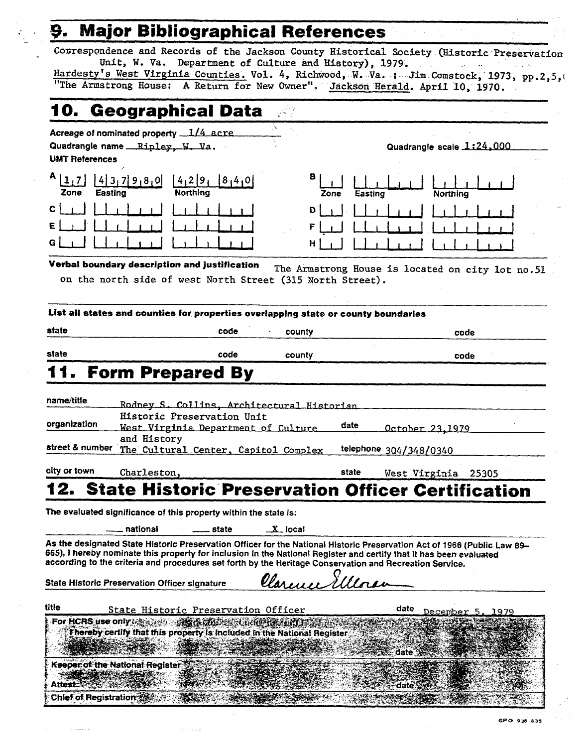# **Major Bibliographical References**

Correspondence and Records of the Jackson County Historical Society (Historic Preservation Unit, W. Va. Department of **Culture** and History), 1979.

Hardesty's West Virginia Counties. Vol. 4, Richwood, W. Va. : Jim Comstock, 1973, pp.2,5,4 h he Armstrong House: **A** Return **for New Owner".** Jackson Herald, April 10, 1970.

# **10. Geographical Data**

| <b>UMT References</b> | Acreage of nominated property 1/4 acre.<br>Quadrangle name __Ripley, W. Va. |          |           |         | Quadrangle scale 1:24,000 |  |
|-----------------------|-----------------------------------------------------------------------------|----------|-----------|---------|---------------------------|--|
| A.<br>Zone            | Easting                                                                     | Northing | 8<br>Zone | Easting | Northing                  |  |
| $\mathbf{C}$          |                                                                             |          | D         |         |                           |  |
| E.                    |                                                                             |          | F.        |         |                           |  |
| G.                    |                                                                             |          | н         |         |                           |  |

**Verbal boundary description and justification** The Armstrong House is located on city lot no.51 on the north side of west North Street (315 Morth Street).

|                                        | List all states and counties for properties overlapping state or county boundaries                                                                    |       |                 |       |                                                                                                                                                                                                                                                                                                                                                            |  |
|----------------------------------------|-------------------------------------------------------------------------------------------------------------------------------------------------------|-------|-----------------|-------|------------------------------------------------------------------------------------------------------------------------------------------------------------------------------------------------------------------------------------------------------------------------------------------------------------------------------------------------------------|--|
| state                                  |                                                                                                                                                       |       |                 |       |                                                                                                                                                                                                                                                                                                                                                            |  |
|                                        |                                                                                                                                                       | code  | county          |       | code                                                                                                                                                                                                                                                                                                                                                       |  |
| state                                  |                                                                                                                                                       | code  | county          |       | code                                                                                                                                                                                                                                                                                                                                                       |  |
|                                        | 11. Form Prepared By                                                                                                                                  |       |                 |       |                                                                                                                                                                                                                                                                                                                                                            |  |
| name/title                             | Rodney S. Collins, Architectural Historian                                                                                                            |       |                 |       |                                                                                                                                                                                                                                                                                                                                                            |  |
| organization                           | Historic Preservation Unit<br>West Virginia Department of Culture                                                                                     |       |                 | date  | October 23, 1979                                                                                                                                                                                                                                                                                                                                           |  |
| street & number                        | and History<br>The Cultural Center, Capitol Complex                                                                                                   |       |                 |       | telephone 304/348/0340                                                                                                                                                                                                                                                                                                                                     |  |
| city or town                           | Charleston,                                                                                                                                           |       |                 | state | West Virginia 25305                                                                                                                                                                                                                                                                                                                                        |  |
|                                        |                                                                                                                                                       |       |                 |       | 12. State Historic Preservation Officer Certification                                                                                                                                                                                                                                                                                                      |  |
|                                        | The evaluated significance of this property within the state is:<br>national                                                                          | state | -X local        |       | As the designated State Historic Preservation Officer for the National Historic Preservation Act of 1966 (Public Law 89-<br>665), I hereby nominate this property for inclusion in the National Register and certify that it has been evaluated<br>according to the criteria and procedures set forth by the Heritage Conservation and Recreation Service. |  |
|                                        | State Historic Preservation Officer signature                                                                                                         |       | Clarence Sillow |       |                                                                                                                                                                                                                                                                                                                                                            |  |
| title                                  | State Historic Preservation Officer                                                                                                                   |       |                 |       | date<br>December<br>1979                                                                                                                                                                                                                                                                                                                                   |  |
| <b>Keeper of the National Register</b> | For HCRS use only a service of the control and the start in the service of<br>Thereby certify that this property is included in the National Register |       |                 |       | date                                                                                                                                                                                                                                                                                                                                                       |  |
| Mrxta Ath<br>Attest:                   |                                                                                                                                                       |       |                 |       | date <sup>5</sup>                                                                                                                                                                                                                                                                                                                                          |  |
| <b>Chief of Registration 1888</b>      |                                                                                                                                                       |       |                 |       |                                                                                                                                                                                                                                                                                                                                                            |  |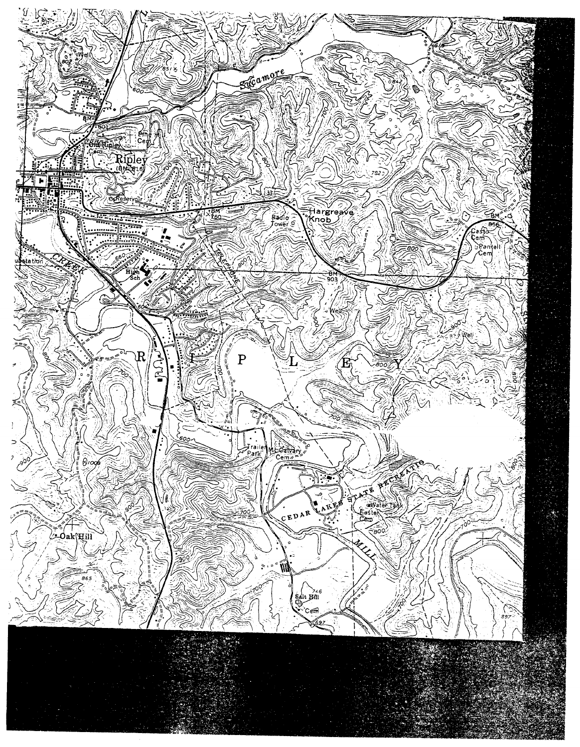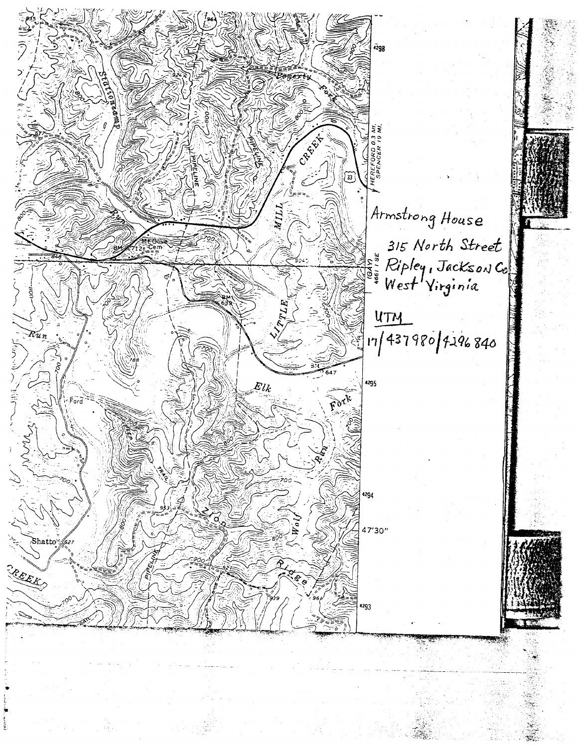